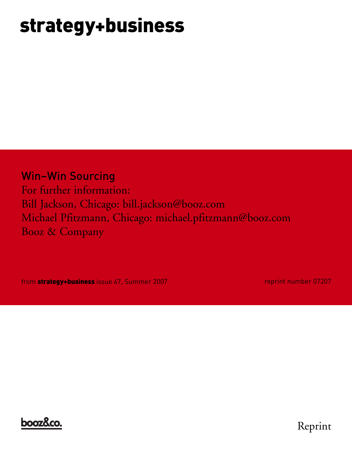# **strategy+business**

Win–Win Sourcing For further information: Bill Jackson, Chicago: bill.jackson@booz.com Michael Pfitzmann, Chicago: michael.pfitzmann@booz.com Booz & Company

from **strategy+business** issue 47, Summer 2007 **reprint number 07207** reprint number 07207



Reprint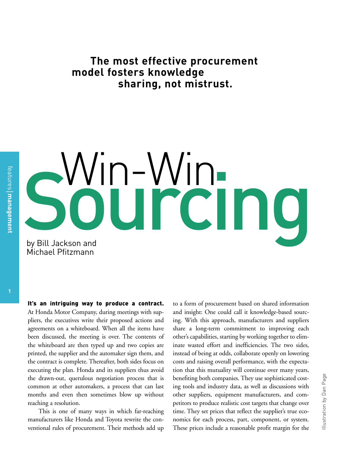**The most effective procurement model fosters knowledge sharing, not mistrust.** 

# Vin-Win<br>Surcing by Bill Jackson and Michael Pfitzmann

features

**m a n a g e m e nt**

**It's an intriguing way to produce a contract.**  At Honda Motor Company, during meetings with suppliers, the executives write their proposed actions and agreements on a whiteboard. When all the items have been discussed, the meeting is over. The contents of the whiteboard are then typed up and two copies are printed, the supplier and the automaker sign them, and the contract is complete. Thereafter, both sides focus on executing the plan. Honda and its suppliers thus avoid the drawn-out, querulous negotiation process that is common at other automakers, a process that can last months and even then sometimes blow up without reaching a resolution.

This is one of many ways in which far-reaching manufacturers like Honda and Toyota rewrite the conventional rules of procurement. Their methods add up to a form of procurement based on shared information and insight: One could call it knowledge-based sourcing. With this approach, manufacturers and suppliers share a long-term commitment to improving each other's capabilities, starting by working together to eliminate wasted effort and inefficiencies. The two sides, instead of being at odds, collaborate openly on lowering costs and raising overall performance, with the expectation that this mutuality will continue over many years, benefiting both companies. They use sophisticated costing tools and industry data, as well as discussions with other suppliers, equipment manufacturers, and competitors to produce realistic cost targets that change over time. They set prices that reflect the supplier's true economics for each process, part, component, or system. These prices include a reasonable profit margin for the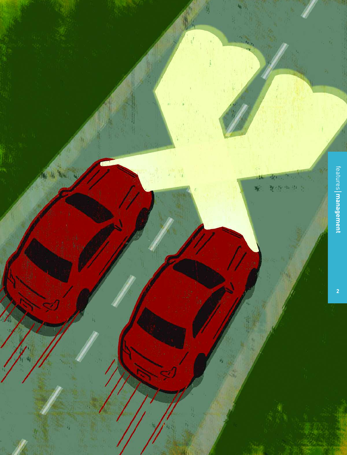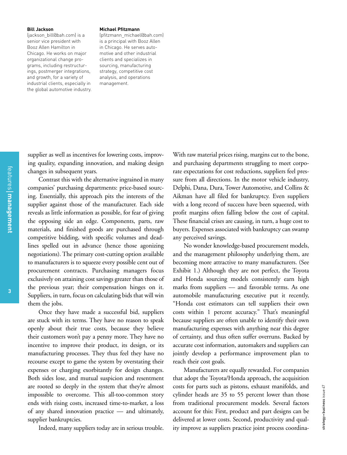#### **Bill Jackson**

(jackson\_bill@bah.com) is a senior vice president with Booz Allen Hamilton in Chicago. He works on major organizational change programs, including restructurings, postmerger integrations, and growth, for a variety of industrial clients, especially in the global automotive industry.

#### **Michael Pfitzmann**

(pfitzmann\_michael@bah.com) is a principal with Booz Allen in Chicago. He serves automotive and other industrial clients and specializes in sourcing, manufacturing strategy, competitive cost analysis, and operations management.

supplier as well as incentives for lowering costs, improving quality, expanding innovation, and making design changes in subsequent years.

Contrast this with the alternative ingrained in many companies' purchasing departments: price-based sourcing. Essentially, this approach pits the interests of the supplier against those of the manufacturer. Each side reveals as little information as possible, for fear of giving the opposing side an edge. Components, parts, raw materials, and finished goods are purchased through competitive bidding, with specific volumes and deadlines spelled out in advance (hence those agonizing negotiations). The primary cost-cutting option available to manufacturers is to squeeze every possible cent out of procurement contracts. Purchasing managers focus exclusively on attaining cost savings greater than those of the previous year; their compensation hinges on it. Suppliers, in turn, focus on calculating bids that will win them the jobs.

Once they have made a successful bid, suppliers are stuck with its terms. They have no reason to speak openly about their true costs, because they believe their customers won't pay a penny more. They have no incentive to improve their product, its design, or its manufacturing processes. They thus feel they have no recourse except to game the system by overstating their expenses or charging exorbitantly for design changes. Both sides lose, and mutual suspicion and resentment are rooted so deeply in the system that they're almost impossible to overcome. This all-too-common story ends with rising costs, increased time-to-market, a loss of any shared innovation practice — and ultimately, supplier bankruptcies.

Indeed, many suppliers today are in serious trouble.

With raw material prices rising, margins cut to the bone, and purchasing departments struggling to meet corporate expectations for cost reductions, suppliers feel pressure from all directions. In the motor vehicle industry, Delphi, Dana, Dura, Tower Automotive, and Collins & Aikman have all filed for bankruptcy. Even suppliers with a long record of success have been squeezed, with profit margins often falling below the cost of capital. These financial crises are causing, in turn, a huge cost to buyers. Expenses associated with bankruptcy can swamp any perceived savings.

No wonder knowledge-based procurement models, and the management philosophy underlying them, are becoming more attractive to many manufacturers. (See Exhibit 1.) Although they are not perfect, the Toyota and Honda sourcing models consistently earn high marks from suppliers — and favorable terms. As one automobile manufacturing executive put it recently, "Honda cost estimators can tell suppliers their own costs within 1 percent accuracy." That's meaningful because suppliers are often unable to identify their own manufacturing expenses with anything near this degree of certainty, and thus often suffer overruns. Backed by accurate cost information, automakers and suppliers can jointly develop a performance improvement plan to reach their cost goals.

Manufacturers are equally rewarded. For companies that adopt the Toyota/Honda approach, the acquisition costs for parts such as pistons, exhaust manifolds, and cylinder heads are 35 to 55 percent lower than those from traditional procurement models. Several factors account for this: First, product and part designs can be delivered at lower costs. Second, productivity and quality improve as suppliers practice joint process coordina-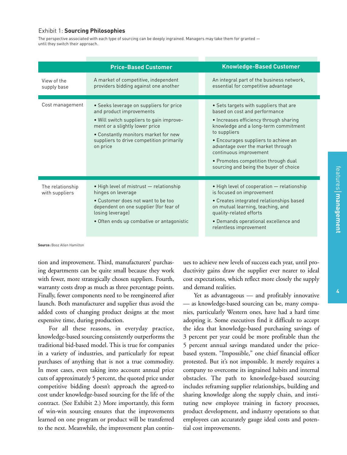# xhibit 1: **Sourcing Philosophies**

The perspective associated with each type of sourcing can be deeply ingrained. Managers may take them for granted  $$ until they switch their approach.

|                                    | <b>Price-Based Customer</b>                                                                                                                                                                                                                       | <b>Knowledge-Based Customer</b>                                                                                                                                                                                                                                                                                                                                   |
|------------------------------------|---------------------------------------------------------------------------------------------------------------------------------------------------------------------------------------------------------------------------------------------------|-------------------------------------------------------------------------------------------------------------------------------------------------------------------------------------------------------------------------------------------------------------------------------------------------------------------------------------------------------------------|
| View of the<br>supply base         | A market of competitive, independent<br>providers bidding against one another                                                                                                                                                                     | An integral part of the business network,<br>essential for competitive advantage                                                                                                                                                                                                                                                                                  |
| Cost management                    | • Seeks leverage on suppliers for price<br>and product improvements<br>• Will switch suppliers to gain improve-<br>ment or a slightly lower price<br>• Constantly monitors market for new<br>suppliers to drive competition primarily<br>on price | • Sets targets with suppliers that are<br>based on cost and performance<br>• Increases efficiency through sharing<br>knowledge and a long-term commitment<br>to suppliers<br>• Encourages suppliers to achieve an<br>advantage over the market through<br>continuous improvement<br>• Promotes competition through dual<br>sourcing and being the buyer of choice |
| The relationship<br>with suppliers | . High level of mistrust - relationship<br>hinges on leverage<br>• Customer does not want to be too<br>dependent on one supplier (for fear of<br>losing leverage)<br>• Often ends up combative or antagonistic                                    | . High level of cooperation - relationship<br>is focused on improvement<br>• Creates integrated relationships based<br>on mutual learning, teaching, and<br>quality-related efforts<br>• Demands operational excellence and<br>relentless improvement                                                                                                             |

**Source:** Booz Allen Hamilton

tion and improvement. Third, manufacturers' purchasing departments can be quite small because they work with fewer, more strategically chosen suppliers. Fourth, warranty costs drop as much as three percentage points. Finally, fewer components need to be reengineered after launch. Both manufacturer and supplier thus avoid the added costs of changing product designs at the most expensive time, during production.

For all these reasons, in everyday practice, knowledge-based sourcing consistently outperforms the traditional bid-based model. This is true for companies in a variety of industries, and particularly for repeat purchases of anything that is not a true commodity. In most cases, even taking into account annual price cuts of approximately 5 percent, the quoted price under competitive bidding doesn't approach the agreed-to cost under knowledge-based sourcing for the life of the contract. (See Exhibit 2.) More importantly, this form of win-win sourcing ensures that the improvements learned on one program or product will be transferred to the next. Meanwhile, the improvement plan continues to achieve new levels of success each year, until productivity gains draw the supplier ever nearer to ideal cost expectations, which reflect more closely the supply and demand realities.

Yet as advantageous — and profitably innovative — as knowledge-based sourcing can be, many companies, particularly Western ones, have had a hard time adopting it. Some executives find it difficult to accept the idea that knowledge-based purchasing savings of 3 percent per year could be more profitable than the 5 percent annual savings mandated under the pricebased system. "Impossible," one chief financial officer protested. But it's not impossible. It merely requires a company to overcome its ingrained habits and internal obstacles. The path to knowledge-based sourcing includes reframing supplier relationships, building and sharing knowledge along the supply chain, and instituting new employee training in factory processes, product development, and industry operations so that employees can accurately gauge ideal costs and potential cost improvements.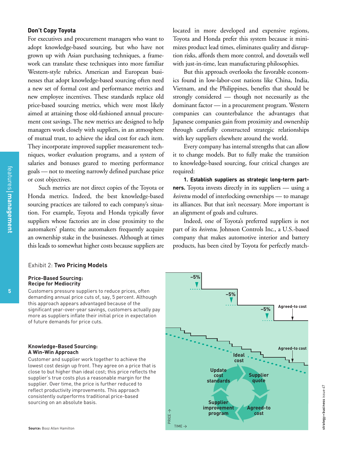# **Don't Copy Toyota**

grown up with Asian purchasing techniques, a frame-The supplier into the supplier into more family work can translate these techniques into more familiar Western-style rubrics. American and European businesses that adopt knowledge-based sourcing often need a new set of formal cost and performance metrics and **Knowl dge-Based Sourcing: A Win-Win Approac** aimed at attaining those old-fashioned annual procurement cost savings. The new metrics are designed to help managers work closely with suppliers, in an atmosphere  $t_0$  work crossly want suppliers, in an admosphere of mutual trust, to achieve the ideal cost for each item. They incorporate improved supplier measurement techconsistently outperforms traditional price-base base outperforms traditional price-base base based on the base niques, worker evaluation programs, and a system of For executives and procurement managers who want to Toyota and adopt knowledge-based sourcing, but who have not new employee incentives. These standards replace old price-based sourcing metrics, which were most likely salaries and bonuses geared to meeting performance goals — not to meeting narrowly defined purchase price or cost objectives.

Such metrics are not direct copies of the Toyota or Honda metrics. Indeed, the best knowledge-based sourcing practices are tailored to each company's situation. For example, Toyota and Honda typically favor suppliers whose factories are in close proximity to the automakers' plants; the automakers frequently acquire an ownership stake in the businesses. Although at times this leads to somewhat higher costs because suppliers are

located in more developed and expensive regions, Toyota and Honda prefer this system because it minimizes product lead times, eliminates quality and disruption risks, affords them more control, and dovetails well with just-in-time, lean manufacturing philosophies. **5%** E lizabeth--The difference between these two is the type alignment.

> But this approach overlooks the favorable econom-**5%** ics found in low-labor-cost nations like China, India, Vietnam, and the Philippines, benefits that should be strongly considered — though not necessarily as the dominant factor — in a procurement program. Western companies can counterbalance the advantages that Japanese companies gain from proximity and ownership **ea** through carefully constructed strategic relationships with key suppliers elsewhere around the world. **date**  $\ddot{\phantom{0}}$

> Every company has internal strengths that can allow it to change models. But to fully make the transition to knowledge-based sourcing, four critical changes are required:

> 1. Establish suppliers as strategic long-term part**ners.** Toyota invests directly in its suppliers — using a keiretsu model of interlocking ownerships — to manage its alliances. But that isn't necessary. More important is an alignment of goals and cultures.

> Indeed, one of Toyota's preferred suppliers is not part of its *keiretsu*. Johnson Controls Inc., a U.S.-based company that makes automotive interior and battery products, has been cited by Toyota for perfectly match-

#### Exhibit 2: **Two Pricing Mode**

#### **rice-Based Sourcing: Recipe for Mediocrity**

Customers pressure suppliers to reduce prices, often demanding annual price cuts of, say, 5 percent. Although this approach appears advantaged because of the significant year-over-year savings, customers actually pay more as suppliers inflate their initial price in expectation of future demands for price cuts.

#### **Knowl dge-Based Sourcing: A W n-W Approac**

Customer and supplier work together to achieve the lowest cost design up front. They agree on a price that is close to but higher than ideal cost; this price reflects the supplier's true costs plus a reasonable margin for the supplier. Over time, the price is further reduced to reflect productivity improvements. This approach consistently outperforms traditional price-based sourcing on an absolute basis.



features

**m a n a g e m e nt**

**5**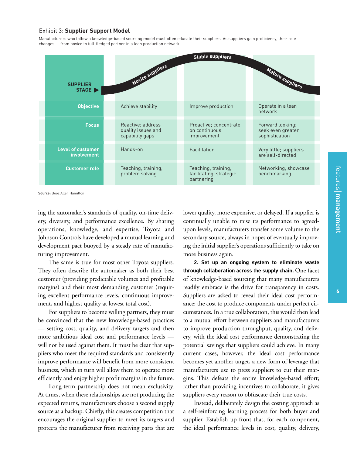# xhibit 3: **Supplier Support Model**

Manufacturers who follow a knowledge-based sourcing model must often educate their suppliers. As suppliers gain proficiency, their role hanges — from novice to full-fledged partner in a lean production network



**Source:** Booz Allen Hamilton

ing the automaker's standards of quality, on-time delivery, diversity, and performance excellence. By sharing operations, knowledge, and expertise, Toyota and Johnson Controls have developed a mutual learning and development pact buoyed by a steady rate of manufacturing improvement.

The same is true for most other Toyota suppliers. They often describe the automaker as both their best customer (providing predictable volumes and profitable margins) and their most demanding customer (requiring excellent performance levels, continuous improvement, and highest quality at lowest total cost).

For suppliers to become willing partners, they must be convinced that the new knowledge-based practices — setting cost, quality, and delivery targets and then more ambitious ideal cost and performance levels will not be used against them. It must be clear that suppliers who meet the required standards and consistently improve performance will benefit from more consistent business, which in turn will allow them to operate more efficiently and enjoy higher profit margins in the future.

Long-term partnership does not mean exclusivity. At times, when these relationships are not producing the expected returns, manufacturers choose a second supply source as a backup. Chiefly, this creates competition that encourages the original supplier to meet its targets and protects the manufacturer from receiving parts that are lower quality, more expensive, or delayed. If a supplier is continually unable to raise its performance to agreedupon levels, manufacturers transfer some volume to the secondary source, always in hopes of eventually improving the initial supplier's operations sufficiently to take on more business again.

**2. Set up an ongoing system to eliminate waste through collaboration across the supply chain.** One facet of knowledge-based sourcing that many manufacturers readily embrace is the drive for transparency in costs. Suppliers are asked to reveal their ideal cost performance: the cost to produce components under perfect circumstances. In a true collaboration, this would then lead to a mutual effort between suppliers and manufacturers to improve production throughput, quality, and delivery, with the ideal cost performance demonstrating the potential savings that suppliers could achieve. In many current cases, however, the ideal cost performance becomes yet another target, a new form of leverage that manufacturers use to press suppliers to cut their margins. This defeats the entire knowledge-based effort; rather than providing incentives to collaborate, it gives suppliers every reason to obfuscate their true costs.

Instead, deliberately design the costing approach as a self-reinforcing learning process for both buyer and supplier. Establish up front that, for each component, the ideal performance levels in cost, quality, delivery,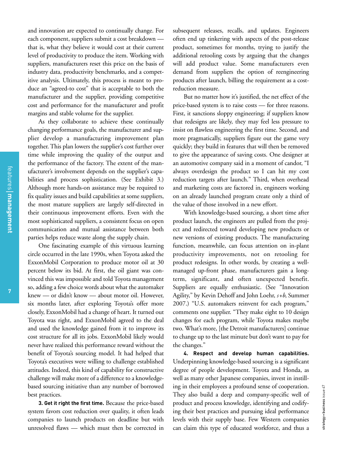and innovation are expected to continually change. For each component, suppliers submit a cost breakdown that is, what they believe it would cost at their current level of productivity to produce the item. Working with suppliers, manufacturers reset this price on the basis of industry data, productivity benchmarks, and a competitive analysis. Ultimately, this process is meant to produce an "agreed-to cost" that is acceptable to both the manufacturer and the supplier, providing competitive cost and performance for the manufacturer and profit margins and stable volume for the supplier.

As they collaborate to achieve these continually changing performance goals, the manufacturer and supplier develop a manufacturing improvement plan together. This plan lowers the supplier's cost further over time while improving the quality of the output and the performance of the factory. The extent of the manufacturer's involvement depends on the supplier's capabilities and process sophistication. (See Exhibit 3.) Although more hands-on assistance may be required to fix quality issues and build capabilities at some suppliers, the most mature suppliers are largely self-directed in their continuous improvement efforts. Even with the most sophisticated suppliers, a consistent focus on open communication and mutual assistance between both parties helps reduce waste along the supply chain.

One fascinating example of this virtuous learning circle occurred in the late 1990s, when Toyota asked the ExxonMobil Corporation to produce motor oil at 30 percent below its bid. At first, the oil giant was convinced this was impossible and told Toyota management so, adding a few choice words about what the automaker knew — or didn't know — about motor oil. However, six months later, after exploring Toyota's offer more closely, ExxonMobil had a change of heart. It turned out Toyota was right, and ExxonMobil agreed to the deal and used the knowledge gained from it to improve its cost structure for all its jobs. ExxonMobil likely would never have realized this performance reward without the benefit of Toyota's sourcing model. It had helped that Toyota's executives were willing to challenge established attitudes. Indeed, this kind of capability for constructive challenge will make more of a difference to a knowledgebased sourcing initiative than any number of borrowed best practices.

**3. Get it right the first time.** Because the price-based system favors cost reduction over quality, it often leads companies to launch products on deadline but with unresolved flaws — which must then be corrected in subsequent releases, recalls, and updates. Engineers often end up tinkering with aspects of the post-release product, sometimes for months, trying to justify the additional retooling costs by arguing that the changes will add product value. Some manufacturers even demand from suppliers the option of reengineering products after launch, billing the requirement as a costreduction measure.

But no matter how it's justified, the net effect of the price-based system is to raise costs — for three reasons. First, it sanctions sloppy engineering; if suppliers know that redesigns are likely, they may feel less pressure to insist on flawless engineering the first time. Second, and more pragmatically, suppliers figure out the game very quickly; they build in features that will then be removed to give the appearance of saving costs. One designer at an automotive company said in a moment of candor, "I always overdesign the product so I can hit my cost reduction targets after launch." Third, when overhead and marketing costs are factored in, engineers working on an already launched program create only a third of the value of those involved in a new effort.

With knowledge-based sourcing, a short time after product launch, the engineers are pulled from the project and redirected toward developing new products or new versions of existing products. The manufacturing function, meanwhile, can focus attention on in-plant productivity improvements, not on retooling for product redesigns. In other words, by creating a wellmanaged up-front phase, manufacturers gain a longterm, significant, and often unexpected benefit. Suppliers are equally enthusiastic. (See "Innovation Agility," by Kevin Dehoff and John Loehr, *s* +*b*, Summer 2007.) "U.S. automakers reinvent for each program," comments one supplier. "They make eight to 10 design changes for each program, while Toyota makes maybe two. What's more, [the Detroit manufacturers] continue to change up to the last minute but don't want to pay for the changes."

**4. Respect and develop human capabilities.** Underpinning knowledge-based sourcing is a significant degree of people development. Toyota and Honda, as well as many other Japanese companies, invest in instilling in their employees a profound sense of cooperation. They also build a deep and company-specific well of product and process knowledge, identifying and codifying their best practices and pursuing ideal performance levels with their supply base. Few Western companies can claim this type of educated workforce, and thus a

**m a n a g e m e nt**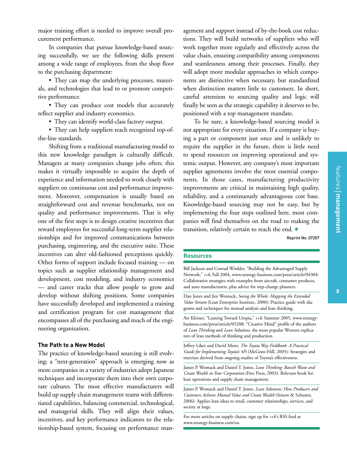major training effort is needed to improve overall procurement performance.

In companies that pursue knowledge-based sourcing successfully, we see the following skills present among a wide range of employees, from the shop floor to the purchasing department:

• They can map the underlying processes, materials, and technologies that lead to or promote competitive performance.

• They can produce cost models that accurately reflect supplier and industry economics.

• They can identify world-class factory output.

• They can help suppliers reach recognized top-ofthe-line standards.

Shifting from a traditional manufacturing model to this new knowledge paradigm is culturally difficult. Managers at many companies change jobs often; this makes it virtually impossible to acquire the depth of experience and information needed to work closely with suppliers on continuous cost and performance improvement. Moreover, compensation is usually based on straightforward cost and revenue benchmarks, not on quality and performance improvements. That is why one of the first steps is to design creative incentives that reward employees for successful long-term supplier relationships and for improved communications between purchasing, engineering, and the executive suite. These incentives can alter old-fashioned perceptions quickly. Other forms of support include focused training — on topics such as supplier relationship management and development, cost modeling, and industry economics — and career tracks that allow people to grow and develop without shifting positions. Some companies have successfully developed and implemented a training and certification program for cost management that encompasses all of the purchasing and much of the engineering organization.

# **The Path to a New Model**

The practice of knowledge-based sourcing is still evolving; a "next-generation" approach is emerging now as more companies in a variety of industries adopt Japanese techniques and incorporate them into their own corporate cultures. The most effective manufacturers will build up supply chain management teams with differentiated capabilities, balancing commercial, technological, and managerial skills. They will align their values, incentives, and key performance indicators to the relationship-based system, focusing on performance management and support instead of by-the-book cost reductions. They will build networks of suppliers who will work together more regularly and effectively across the value chain, ensuring compatibility among components and seamlessness among their processes. Finally, they will adopt more modular approaches in which components are distinctive when necessary, but standardized when distinction matters little to customers. In short, careful attention to sourcing quality and logic will finally be seen as the strategic capability it deserves to be, positioned with a top management mandate.

To be sure, a knowledge-based sourcing model is not appropriate for every situation. If a company is buying a part or component just once and is unlikely to require the supplier in the future, there is little need to spend resources on improving operational and systemic output. However, any company's most important supplier agreements involve the most essential components. In those cases, manufacturing productivity improvements are critical in maintaining high quality, reliability, and a continuously advantageous cost base. Knowledge-based sourcing may not be easy, but by implementing the four steps outlined here, most companies will find themselves on the road to making the transition, relatively certain to reach the end. **+**

Reprint No. 07207

#### **Resources**

Bill Jackson and Conrad Winkler, "Building the Advantaged Supply Network," *s+b,* Fall 2004, www.strategy-business.com/press/article/04304: Collaborative strategies with examples from aircraft, consumer products, and auto manufacturers, plus advice for step-change planners.

Dan Jones and Jim Womack, *Seeing the Whole: Mapping the Extended Value Stream* (Lean Enterprise Institute, 2000): Practice guide with diagrams and techniques for mutual analysis and lean thinking.

Art Kleiner, "Leaning Toward Utopia," *s+b,* Summer 2005, www.strategybusiness.com/press/article/05208: "Creative Mind" profile of the authors of *Lean Thinking* and *Lean Solutions,* the most popular Western explicators of lean methods of thinking and production.

Jeffrey Liker and David Meier, *The Toyota Way Fieldbook: A Practical Guide for Implementing Toyota's 4Ps* (McGraw-Hill, 2005): Strategies and exercises derived from ongoing studies of Toyota's effectiveness.

James P. Womack and Daniel T. Jones, *Lean Thinking: Banish Waste and Create Wealth in Your Corporation* (Free Press, 2003): Relevant book for lean operations and supply chain management.

James P. Womack and Daniel T. Jones, *Lean Solutions: How Producers and Customers Achieve Mutual Value and Create Wealth* (Simon & Schuster, 2006): Applies lean ideas to retail, customer relationships, services, and society at large.

For more articles on supply chains, sign up for *s+b*'s RSS feed at www.strategy-business.com/rss.